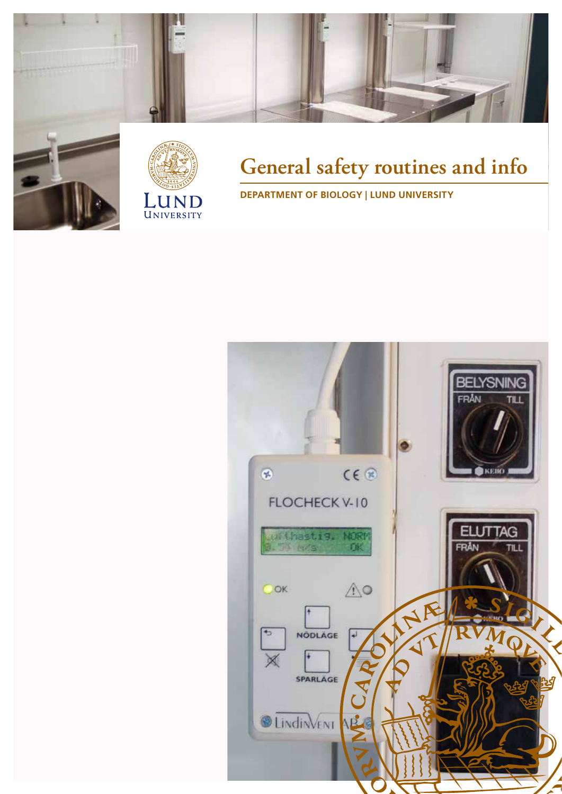



# **General safety routines and info**

**DEPARTMENT OF BIOLOGY | LUND UNIVERSITY**

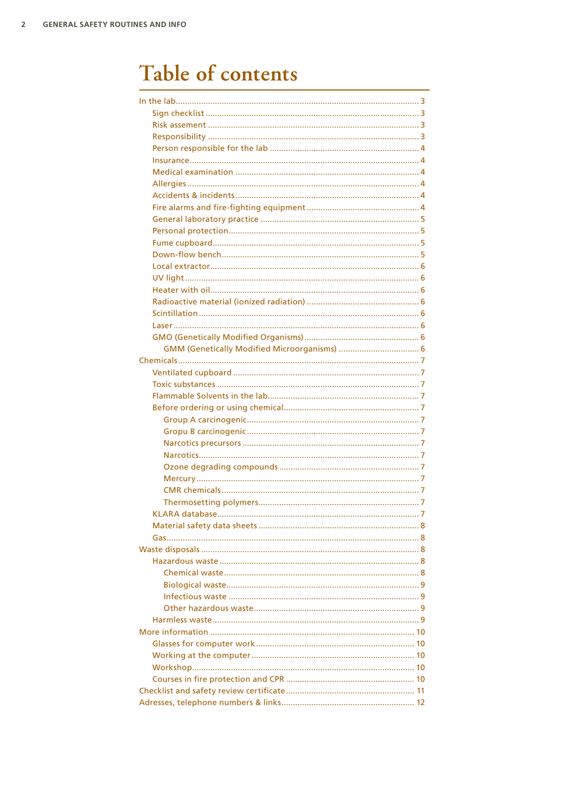# Table of contents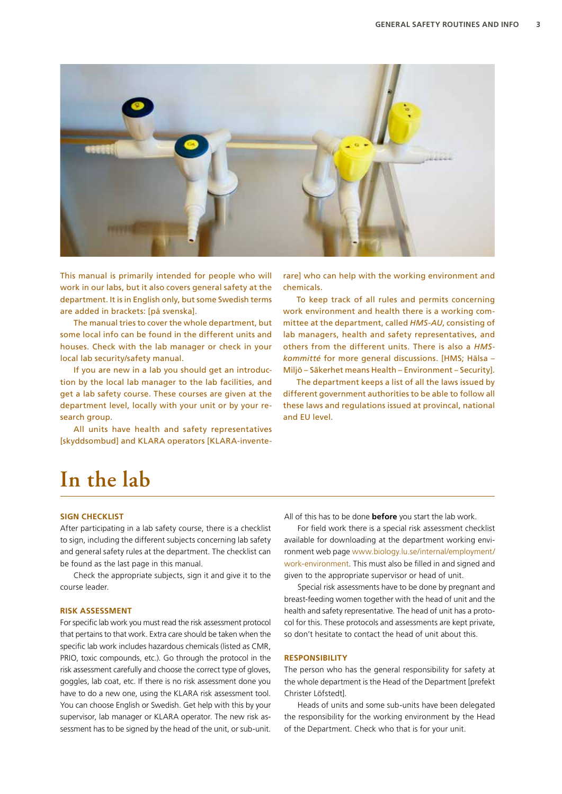

This manual is primarily intended for people who will work in our labs, but it also covers general safety at the department. It is in English only, but some Swedish terms are added in brackets: [på svenska].

The manual tries to cover the whole department, but some local info can be found in the different units and houses. Check with the lab manager or check in your local lab security/safety manual.

If you are new in a lab you should get an introduction by the local lab manager to the lab facilities, and get a lab safety course. These courses are given at the department level, locally with your unit or by your research group.

All units have health and safety representatives [skyddsombud] and KLARA operators [KLARA-inventerare] who can help with the working environment and chemicals.

To keep track of all rules and permits concerning work environment and health there is a working committee at the department, called *HMS-AU*, consisting of lab managers, health and safety representatives, and others from the different units. There is also a *HMSkommitté* for more general discussions. [HMS; Hälsa – Miljö – Säkerhet means Health – Environment – Security].

The department keeps a list of all the laws issued by different government authorities to be able to follow all these laws and regulations issued at provincal, national and EU level.

# **In the lab**

#### **SIGN CHECKLIST**

After participating in a lab safety course, there is a checklist to sign, including the different subjects concerning lab safety and general safety rules at the department. The checklist can be found as the last page in this manual.

Check the appropriate subjects, sign it and give it to the course leader.

#### **RISK ASSESSMENT**

For specific lab work you must read the risk assessment protocol that pertains to that work. Extra care should be taken when the specific lab work includes hazardous chemicals (listed as CMR, PRIO, toxic compounds, etc.). Go through the protocol in the risk assessment carefully and choose the correct type of gloves, goggles, lab coat, etc. If there is no risk assessment done you have to do a new one, using the KLARA risk assessment tool. You can choose English or Swedish. Get help with this by your supervisor, lab manager or KLARA operator. The new risk assessment has to be signed by the head of the unit, or sub-unit.

All of this has to be done **before** you start the lab work.

For field work there is a special risk assessment checklist available for downloading at the department working environment web page [www.biology.lu.se/internal/employment/](http://www.biology.lu.se/internal/employment/work-environment) [work-environment.](http://www.biology.lu.se/internal/employment/work-environment) This must also be filled in and signed and given to the appropriate supervisor or head of unit.

Special risk assessments have to be done by pregnant and breast-feeding women together with the head of unit and the health and safety representative. The head of unit has a protocol for this. These protocols and assessments are kept private, so don't hesitate to contact the head of unit about this.

# **RESPONSIBILITY**

The person who has the general responsibility for safety at the whole department is the Head of the Department [prefekt Christer Löfstedt].

Heads of units and some sub-units have been delegated the responsibility for the working environment by the Head of the Department. Check who that is for your unit.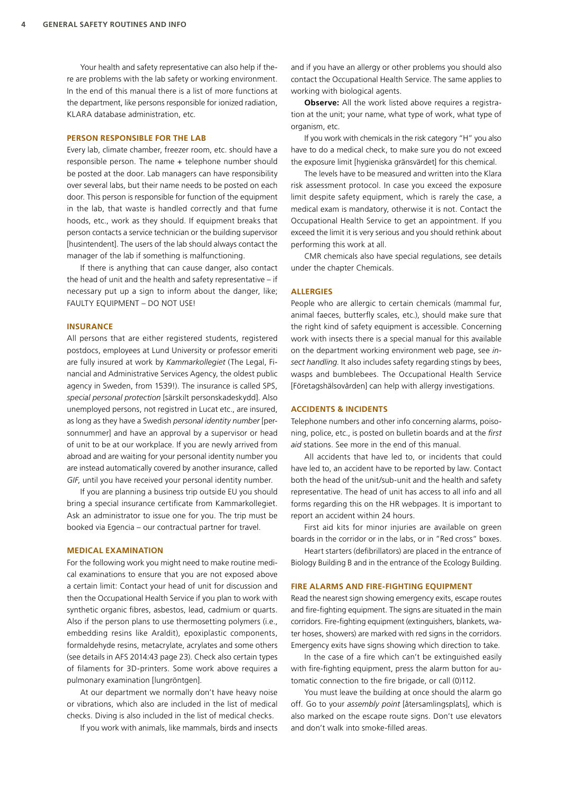Your health and safety representative can also help if there are problems with the lab safety or working environment. In the end of this manual there is a list of more functions at the department, like persons responsible for ionized radiation, KLARA database administration, etc.

#### **PERSON RESPONSIBLE FOR THE LAB**

Every lab, climate chamber, freezer room, etc. should have a responsible person. The name + telephone number should be posted at the door. Lab managers can have responsibility over several labs, but their name needs to be posted on each door. This person is responsible for function of the equipment in the lab, that waste is handled correctly and that fume hoods, etc., work as they should. If equipment breaks that person contacts a service technician or the building supervisor [husintendent]. The users of the lab should always contact the manager of the lab if something is malfunctioning.

If there is anything that can cause danger, also contact the head of unit and the health and safety representative – if necessary put up a sign to inform about the danger, like; FAULTY EQUIPMENT – DO NOT USE!

#### **INSURANCE**

All persons that are either registered students, registered postdocs, employees at Lund University or professor emeriti are fully insured at work by *Kammarkollegiet* (The Legal, Financial and Administrative Services Agency, the oldest public agency in Sweden, from 1539!). The insurance is called SPS, *special personal protection* [särskilt personskadeskydd]. Also unemployed persons, not registred in Lucat etc., are insured, as long as they have a Swedish *personal identity number* [personnummer] and have an approval by a supervisor or head of unit to be at our workplace. If you are newly arrived from abroad and are waiting for your personal identity number you are instead automatically covered by another insurance, called *GIF*, until you have received your personal identity number.

If you are planning a business trip outside EU you should bring a special insurance certificate from Kammarkollegiet. Ask an administrator to issue one for you. The trip must be booked via Egencia – our contractual partner for travel.

#### **MEDICAL EXAMINATION**

For the following work you might need to make routine medical examinations to ensure that you are not exposed above a certain limit: Contact your head of unit for discussion and then the Occupational Health Service if you plan to work with synthetic organic fibres, asbestos, lead, cadmium or quarts. Also if the person plans to use thermosetting polymers (i.e., embedding resins like Araldit), epoxiplastic components, formaldehyde resins, metacrylate, acrylates and some others (see details in AFS 2014:43 page 23). Check also certain types of filaments for 3D-printers. Some work above requires a pulmonary examination [lungröntgen].

At our department we normally don't have heavy noise or vibrations, which also are included in the list of medical checks. Diving is also included in the list of medical checks.

If you work with animals, like mammals, birds and insects

and if you have an allergy or other problems you should also contact the Occupational Health Service. The same applies to working with biological agents.

**Observe:** All the work listed above requires a registration at the unit; your name, what type of work, what type of organism, etc.

If you work with chemicals in the risk category "H" you also have to do a medical check, to make sure you do not exceed the exposure limit [hygieniska gränsvärdet] for this chemical.

The levels have to be measured and written into the Klara risk assessment protocol. In case you exceed the exposure limit despite safety equipment, which is rarely the case, a medical exam is mandatory, otherwise it is not. Contact the Occupational Health Service to get an appointment. If you exceed the limit it is very serious and you should rethink about performing this work at all.

CMR chemicals also have special regulations, see details under the chapter Chemicals.

#### **ALLERGIES**

People who are allergic to certain chemicals (mammal fur, animal faeces, butterfly scales, etc.), should make sure that the right kind of safety equipment is accessible. Concerning work with insects there is a special manual for this available on the department working environment web page, see *insect handling*. It also includes safety regarding stings by bees, wasps and bumblebees. The Occupational Health Service [Företagshälsovården] can help with allergy investigations.

### **ACCIDENTS & INCIDENTS**

Telephone numbers and other info concerning alarms, poisoning, police, etc., is posted on bulletin boards and at the *first aid* stations. See more in the end of this manual.

All accidents that have led to, or incidents that could have led to, an accident have to be reported by law. Contact both the head of the unit/sub-unit and the health and safety representative. The head of unit has access to all info and all forms regarding this on the HR webpages. It is important to report an accident within 24 hours.

First aid kits for minor injuries are available on green boards in the corridor or in the labs, or in "Red cross" boxes.

Heart starters (defibrillators) are placed in the entrance of Biology Building B and in the entrance of the Ecology Building.

#### **FIRE ALARMS AND FIRE-FIGHTING EQUIPMENT**

Read the nearest sign showing emergency exits, escape routes and fire-fighting equipment. The signs are situated in the main corridors. Fire-fighting equipment (extinguishers, blankets, water hoses, showers) are marked with red signs in the corridors. Emergency exits have signs showing which direction to take.

In the case of a fire which can't be extinguished easily with fire-fighting equipment, press the alarm button for automatic connection to the fire brigade, or call (0)112.

You must leave the building at once should the alarm go off. Go to your *assembly point* [återsamlingsplats], which is also marked on the escape route signs. Don't use elevators and don't walk into smoke-filled areas.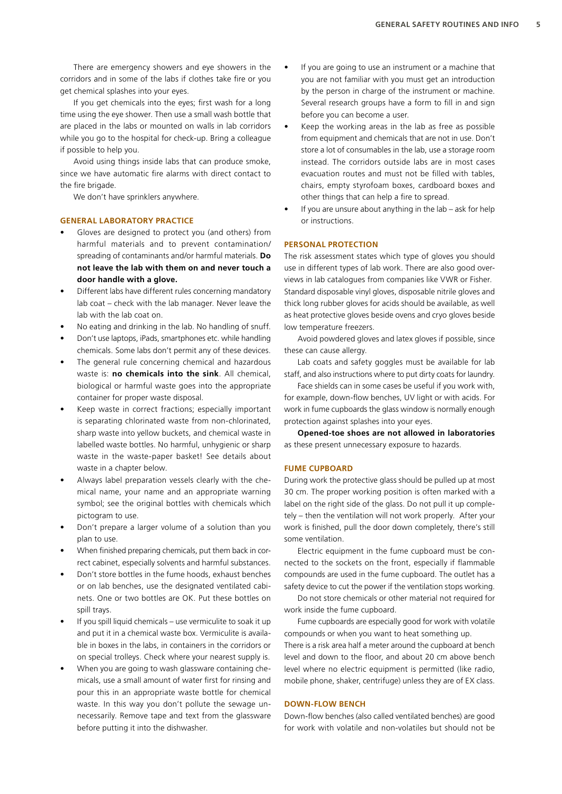There are emergency showers and eye showers in the corridors and in some of the labs if clothes take fire or you get chemical splashes into your eyes.

If you get chemicals into the eyes; first wash for a long time using the eye shower. Then use a small wash bottle that are placed in the labs or mounted on walls in lab corridors while you go to the hospital for check-up. Bring a colleague if possible to help you.

Avoid using things inside labs that can produce smoke, since we have automatic fire alarms with direct contact to the fire brigade.

We don't have sprinklers anywhere.

#### **GENERAL LABORATORY PRACTICE**

- Gloves are designed to protect you (and others) from harmful materials and to prevent contamination/ spreading of contaminants and/or harmful materials. **Do not leave the lab with them on and never touch a door handle with a glove.**
- Different labs have different rules concerning mandatory lab coat – check with the lab manager. Never leave the lab with the lab coat on.
- No eating and drinking in the lab. No handling of snuff.
- Don't use laptops, iPads, smartphones etc. while handling chemicals. Some labs don't permit any of these devices.
- The general rule concerning chemical and hazardous waste is: **no chemicals into the sink**. All chemical, biological or harmful waste goes into the appropriate container for proper waste disposal.
- Keep waste in correct fractions; especially important is separating chlorinated waste from non-chlorinated, sharp waste into yellow buckets, and chemical waste in labelled waste bottles. No harmful, unhygienic or sharp waste in the waste-paper basket! See details about waste in a chapter below.
- Always label preparation vessels clearly with the chemical name, your name and an appropriate warning symbol; see the original bottles with chemicals which pictogram to use.
- Don't prepare a larger volume of a solution than you plan to use.
- When finished preparing chemicals, put them back in correct cabinet, especially solvents and harmful substances.
- Don't store bottles in the fume hoods, exhaust benches or on lab benches, use the designated ventilated cabinets. One or two bottles are OK. Put these bottles on spill trays.
- If you spill liquid chemicals use vermiculite to soak it up and put it in a chemical waste box. Vermiculite is available in boxes in the labs, in containers in the corridors or on special trolleys. Check where your nearest supply is.
- When you are going to wash glassware containing chemicals, use a small amount of water first for rinsing and pour this in an appropriate waste bottle for chemical waste. In this way you don't pollute the sewage unnecessarily. Remove tape and text from the glassware before putting it into the dishwasher.
- If you are going to use an instrument or a machine that you are not familiar with you must get an introduction by the person in charge of the instrument or machine. Several research groups have a form to fill in and sign before you can become a user.
- Keep the working areas in the lab as free as possible from equipment and chemicals that are not in use. Don't store a lot of consumables in the lab, use a storage room instead. The corridors outside labs are in most cases evacuation routes and must not be filled with tables, chairs, empty styrofoam boxes, cardboard boxes and other things that can help a fire to spread.
- If you are unsure about anything in the  $\text{lab} \text{ask}$  for help or instructions.

# **PERSONAL PROTECTION**

The risk assessment states which type of gloves you should use in different types of lab work. There are also good overviews in lab catalogues from companies like VWR or Fisher. Standard disposable vinyl gloves, disposable nitrile gloves and thick long rubber gloves for acids should be available, as well as heat protective gloves beside ovens and cryo gloves beside low temperature freezers.

Avoid powdered gloves and latex gloves if possible, since these can cause allergy.

Lab coats and safety goggles must be available for lab staff, and also instructions where to put dirty coats for laundry.

Face shields can in some cases be useful if you work with, for example, down-flow benches, UV light or with acids. For work in fume cupboards the glass window is normally enough protection against splashes into your eyes.

**Opened-toe shoes are not allowed in laboratories** as these present unnecessary exposure to hazards.

#### **FUME CUPBOARD**

During work the protective glass should be pulled up at most 30 cm. The proper working position is often marked with a label on the right side of the glass. Do not pull it up completely – then the ventilation will not work properly. After your work is finished, pull the door down completely, there's still some ventilation.

Electric equipment in the fume cupboard must be connected to the sockets on the front, especially if flammable compounds are used in the fume cupboard. The outlet has a safety device to cut the power if the ventilation stops working.

Do not store chemicals or other material not required for work inside the fume cupboard.

Fume cupboards are especially good for work with volatile compounds or when you want to heat something up.

There is a risk area half a meter around the cupboard at bench level and down to the floor, and about 20 cm above bench level where no electric equipment is permitted (like radio, mobile phone, shaker, centrifuge) unless they are of EX class.

#### **DOWN-FLOW BENCH**

Down-flow benches (also called ventilated benches) are good for work with volatile and non-volatiles but should not be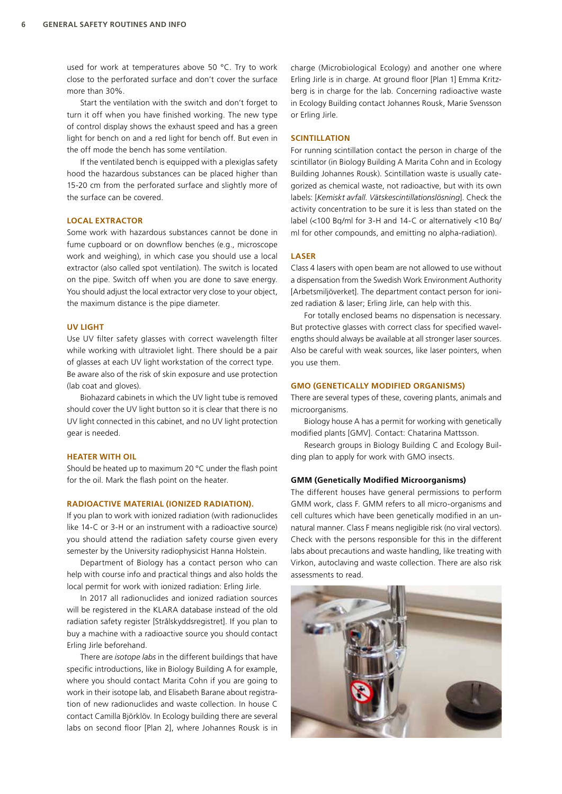used for work at temperatures above 50 °C. Try to work close to the perforated surface and don't cover the surface more than 30%.

Start the ventilation with the switch and don't forget to turn it off when you have finished working. The new type of control display shows the exhaust speed and has a green light for bench on and a red light for bench off. But even in the off mode the bench has some ventilation.

If the ventilated bench is equipped with a plexiglas safety hood the hazardous substances can be placed higher than 15-20 cm from the perforated surface and slightly more of the surface can be covered.

#### **LOCAL EXTRACTOR**

Some work with hazardous substances cannot be done in fume cupboard or on downflow benches (e.g., microscope work and weighing), in which case you should use a local extractor (also called spot ventilation). The switch is located on the pipe. Switch off when you are done to save energy. You should adjust the local extractor very close to your object, the maximum distance is the pipe diameter.

#### **UV LIGHT**

Use UV filter safety glasses with correct wavelength filter while working with ultraviolet light. There should be a pair of glasses at each UV light workstation of the correct type. Be aware also of the risk of skin exposure and use protection (lab coat and gloves).

Biohazard cabinets in which the UV light tube is removed should cover the UV light button so it is clear that there is no UV light connected in this cabinet, and no UV light protection gear is needed.

#### **HEATER WITH OIL**

Should be heated up to maximum 20 °C under the flash point for the oil. Mark the flash point on the heater.

#### **RADIOACTIVE MATERIAL (IONIZED RADIATION).**

If you plan to work with ionized radiation (with radionuclides like 14-C or 3-H or an instrument with a radioactive source) you should attend the radiation safety course given every semester by the University radiophysicist Hanna Holstein.

Department of Biology has a contact person who can help with course info and practical things and also holds the local permit for work with ionized radiation: Erling Jirle.

In 2017 all radionuclides and ionized radiation sources will be registered in the KLARA database instead of the old radiation safety register [Strålskyddsregistret]. If you plan to buy a machine with a radioactive source you should contact Erling Jirle beforehand.

There are *isotope labs* in the different buildings that have specific introductions, like in Biology Building A for example, where you should contact Marita Cohn if you are going to work in their isotope lab, and Elisabeth Barane about registration of new radionuclides and waste collection. In house C contact Camilla Björklöv. In Ecology building there are several labs on second floor [Plan 2], where Johannes Rousk is in

charge (Microbiological Ecology) and another one where Erling Jirle is in charge. At ground floor [Plan 1] Emma Kritzberg is in charge for the lab. Concerning radioactive waste in Ecology Building contact Johannes Rousk, Marie Svensson or Erling Jirle.

#### **SCINTILLATION**

For running scintillation contact the person in charge of the scintillator (in Biology Building A Marita Cohn and in Ecology Building Johannes Rousk). Scintillation waste is usually categorized as chemical waste, not radioactive, but with its own labels: [*Kemiskt avfall*. *Vätskescintillationslösning*]. Check the activity concentration to be sure it is less than stated on the label (<100 Bq/ml for 3-H and 14-C or alternatively <10 Bq/ ml for other compounds, and emitting no alpha-radiation).

#### **LASER**

Class 4 lasers with open beam are not allowed to use without a dispensation from the Swedish Work Environment Authority [Arbetsmiljöverket]. The department contact person for ionized radiation & laser; Erling Jirle, can help with this.

For totally enclosed beams no dispensation is necessary. But protective glasses with correct class for specified wavelengths should always be available at all stronger laser sources. Also be careful with weak sources, like laser pointers, when you use them.

#### **GMO (GENETICALLY MODIFIED ORGANISMS)**

There are several types of these, covering plants, animals and microorganisms.

Biology house A has a permit for working with genetically modified plants [GMV]. Contact: Chatarina Mattsson.

Research groups in Biology Building C and Ecology Building plan to apply for work with GMO insects.

#### **GMM (Genetically Modified Microorganisms)**

The different houses have general permissions to perform GMM work, class F. GMM refers to all micro-organisms and cell cultures which have been genetically modified in an unnatural manner. Class F means negligible risk (no viral vectors). Check with the persons responsible for this in the different labs about precautions and waste handling, like treating with Virkon, autoclaving and waste collection. There are also risk assessments to read.

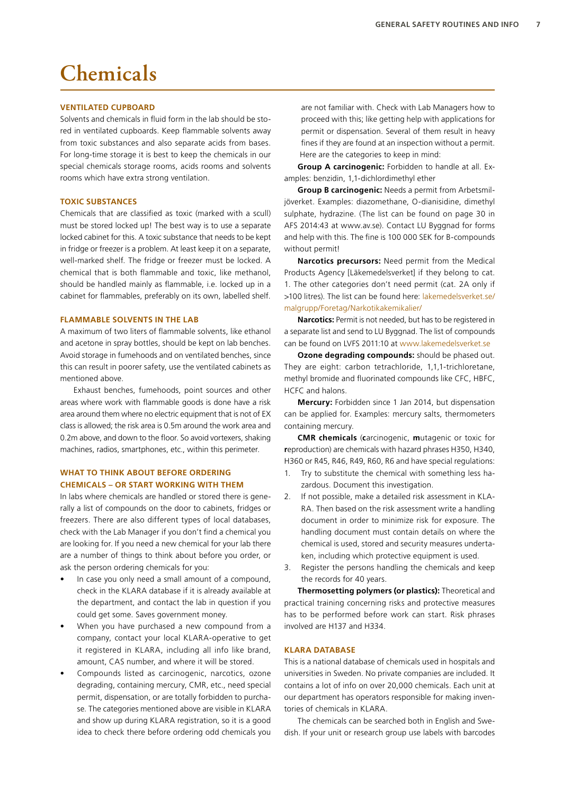# **Chemicals**

## **VENTILATED CUPBOARD**

Solvents and chemicals in fluid form in the lab should be stored in ventilated cupboards. Keep flammable solvents away from toxic substances and also separate acids from bases. For long-time storage it is best to keep the chemicals in our special chemicals storage rooms, acids rooms and solvents rooms which have extra strong ventilation.

### **TOXIC SUBSTANCES**

Chemicals that are classified as toxic (marked with a scull) must be stored locked up! The best way is to use a separate locked cabinet for this. A toxic substance that needs to be kept in fridge or freezer is a problem. At least keep it on a separate, well-marked shelf. The fridge or freezer must be locked. A chemical that is both flammable and toxic, like methanol, should be handled mainly as flammable, i.e. locked up in a cabinet for flammables, preferably on its own, labelled shelf.

#### **FLAMMABLE SOLVENTS IN THE LAB**

A maximum of two liters of flammable solvents, like ethanol and acetone in spray bottles, should be kept on lab benches. Avoid storage in fumehoods and on ventilated benches, since this can result in poorer safety, use the ventilated cabinets as mentioned above.

Exhaust benches, fumehoods, point sources and other areas where work with flammable goods is done have a risk area around them where no electric equipment that is not of EX class is allowed; the risk area is 0.5m around the work area and 0.2m above, and down to the floor. So avoid vortexers, shaking machines, radios, smartphones, etc., within this perimeter.

# **WHAT TO THINK ABOUT BEFORE ORDERING CHEMICALS – OR START WORKING WITH THEM**

In labs where chemicals are handled or stored there is generally a list of compounds on the door to cabinets, fridges or freezers. There are also different types of local databases, check with the Lab Manager if you don't find a chemical you are looking for. If you need a new chemical for your lab there are a number of things to think about before you order, or ask the person ordering chemicals for you:

- In case you only need a small amount of a compound, check in the KLARA database if it is already available at the department, and contact the lab in question if you could get some. Saves government money.
- When you have purchased a new compound from a company, contact your local KLARA-operative to get it registered in KLARA, including all info like brand, amount, CAS number, and where it will be stored.
- Compounds listed as carcinogenic, narcotics, ozone degrading, containing mercury, CMR, etc., need special permit, dispensation, or are totally forbidden to purchase. The categories mentioned above are visible in KLARA and show up during KLARA registration, so it is a good idea to check there before ordering odd chemicals you

are not familiar with. Check with Lab Managers how to proceed with this; like getting help with applications for permit or dispensation. Several of them result in heavy fines if they are found at an inspection without a permit. Here are the categories to keep in mind:

**Group A carcinogenic:** Forbidden to handle at all. Examples: benzidin, 1,1-dichlordimethyl ether

**Group B carcinogenic:** Needs a permit from Arbetsmiljöverket. Examples: diazomethane, O-dianisidine, dimethyl sulphate, hydrazine. (The list can be found on page 30 in AFS 2014:43 at www.av.se). Contact LU Byggnad for forms and help with this. The fine is 100 000 SEK for B-compounds without permit!

**Narcotics precursors:** Need permit from the Medical Products Agency [Läkemedelsverket] if they belong to cat. 1. The other categories don't need permit (cat. 2A only if >100 litres). The list can be found here: [lakemedelsverket.se/](http://lakemedelsverket.se/malgrupp/Foretag/Narkotikakemikalier/) [malgrupp/Foretag/Narkotikakemikalier/](http://lakemedelsverket.se/malgrupp/Foretag/Narkotikakemikalier/)

**Narcotics:** Permit is not needed, but has to be registered in a separate list and send to LU Byggnad. The list of compounds can be found on LVFS 2011:10 at [www.lakemedelsverket.se](http://www.lakemedelsverket.se)

**Ozone degrading compounds:** should be phased out. They are eight: carbon tetrachloride, 1,1,1-trichloretane, methyl bromide and fluorinated compounds like CFC, HBFC, HCFC and halons.

**Mercury:** Forbidden since 1 Jan 2014, but dispensation can be applied for. Examples: mercury salts, thermometers containing mercury.

**CMR chemicals** (**c**arcinogenic, **m**utagenic or toxic for **r**eproduction) are chemicals with hazard phrases H350, H340, H360 or R45, R46, R49, R60, R6 and have special regulations:

- 1. Try to substitute the chemical with something less hazardous. Document this investigation.
- 2. If not possible, make a detailed risk assessment in KLA-RA. Then based on the risk assessment write a handling document in order to minimize risk for exposure. The handling document must contain details on where the chemical is used, stored and security measures undertaken, including which protective equipment is used.
- 3. Register the persons handling the chemicals and keep the records for 40 years.

**Thermosetting polymers (or plastics):** Theoretical and practical training concerning risks and protective measures has to be performed before work can start. Risk phrases involved are H137 and H334.

### **KLARA DATABASE**

This is a national database of chemicals used in hospitals and universities in Sweden. No private companies are included. It contains a lot of info on over 20,000 chemicals. Each unit at our department has operators responsible for making inventories of chemicals in KLARA.

The chemicals can be searched both in English and Swedish. If your unit or research group use labels with barcodes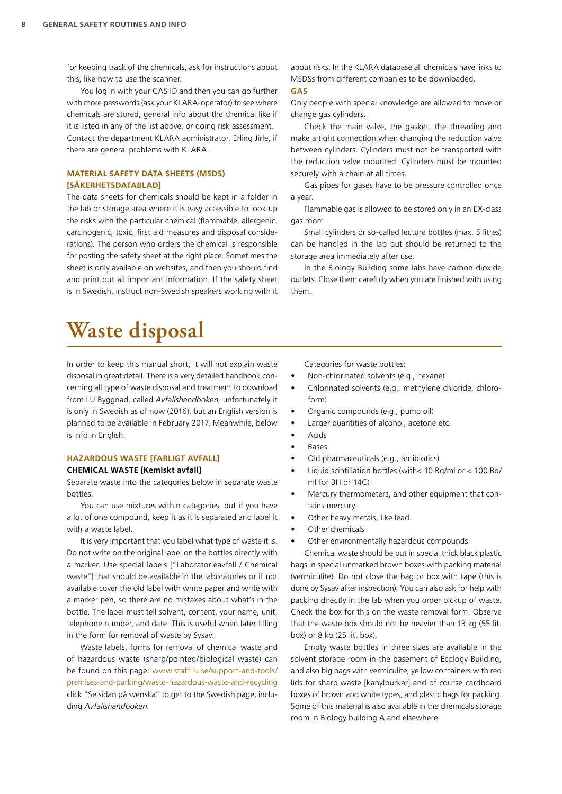for keeping track of the chemicals, ask for instructions about this, like how to use the scanner.

You log in with your CAS ID and then you can go further with more passwords (ask your KLARA-operator) to see where chemicals are stored, general info about the chemical like if it is listed in any of the list above, or doing risk assessment. Contact the department KLARA administrator, Erling Jirle, if there are general problems with KLARA.

# **MATERIAL SAFETY DATA SHEETS (MSDS) [SÄKERHETSDATABLAD]**

The data sheets for chemicals should be kept in a folder in the lab or storage area where it is easy accessible to look up the risks with the particular chemical (flammable, allergenic, carcinogenic, toxic, first aid measures and disposal considerations). The person who orders the chemical is responsible for posting the safety sheet at the right place. Sometimes the sheet is only available on websites, and then you should find and print out all important information. If the safety sheet is in Swedish, instruct non-Swedish speakers working with it

about risks. In the KLARA database all chemicals have links to MSDSs from different companies to be downloaded.

# **GAS**

Only people with special knowledge are allowed to move or change gas cylinders.

Check the main valve, the gasket, the threading and make a tight connection when changing the reduction valve between cylinders. Cylinders must not be transported with the reduction valve mounted. Cylinders must be mounted securely with a chain at all times.

Gas pipes for gases have to be pressure controlled once a year.

Flammable gas is allowed to be stored only in an EX-class gas room.

Small cylinders or so-called lecture bottles (max. 5 litres) can be handled in the lab but should be returned to the storage area immediately after use.

In the Biology Building some labs have carbon dioxide outlets. Close them carefully when you are finished with using them.

# **Waste disposal**

In order to keep this manual short, it will not explain waste disposal in great detail. There is a very detailed handbook concerning all type of waste disposal and treatment to download from LU Byggnad, called *Avfallshandboken*, unfortunately it is only in Swedish as of now (2016), but an English version is planned to be available in February 2017. Meanwhile, below is info in English:

### **HAZARDOUS WASTE [FARLIGT AVFALL] CHEMICAL WASTE [Kemiskt avfall]**

Separate waste into the categories below in separate waste bottles.

You can use mixtures within categories, but if you have a lot of one compound, keep it as it is separated and label it with a waste label.

It is very important that you label what type of waste it is. Do not write on the original label on the bottles directly with a marker. Use special labels ["Laboratorieavfall / Chemical waste"] that should be available in the laboratories or if not available cover the old label with white paper and write with a marker pen, so there are no mistakes about what's in the bottle. The label must tell solvent, content, your name, unit, telephone number, and date. This is useful when later filling in the form for removal of waste by Sysav.

Waste labels, forms for removal of chemical waste and of hazardous waste (sharp/pointed/biological waste) can be found on this page: [www.staff.lu.se/support-and-tools/](http://www.staff.lu.se/support-and-tools/premises-and-parking/waste-hazardous-waste-and-recycling) [premises-and-parking/waste-hazardous-waste-and-recycling](http://www.staff.lu.se/support-and-tools/premises-and-parking/waste-hazardous-waste-and-recycling) click "Se sidan på svenska" to get to the Swedish page, including *Avfallshandboken*.

Categories for waste bottles:

- Non-chlorinated solvents (e.g., hexane)
- Chlorinated solvents (e.g., methylene chloride, chloroform)
- Organic compounds (e.g., pump oil)
- Larger quantities of alcohol, acetone etc.
- Acids
- **Bases**
- Old pharmaceuticals (e.g., antibiotics)
- Liquid scintillation bottles (with< 10 Bq/ml or < 100 Bq/ ml for 3H or 14C)
- Mercury thermometers, and other equipment that contains mercury.
- Other heavy metals, like lead.
- Other chemicals
- Other environmentally hazardous compounds

Chemical waste should be put in special thick black plastic bags in special unmarked brown boxes with packing material (vermiculite). Do not close the bag or box with tape (this is done by Sysav after inspection). You can also ask for help with packing directly in the lab when you order pickup of waste. Check the box for this on the waste removal form. Observe that the waste box should not be heavier than 13 kg (55 lit. box) or 8 kg (25 lit. box).

Empty waste bottles in three sizes are available in the solvent storage room in the basement of Ecology Building, and also big bags with vermiculite, yellow containers with red lids for sharp waste [kanylburkar] and of course cardboard boxes of brown and white types, and plastic bags for packing. Some of this material is also available in the chemicals storage room in Biology building A and elsewhere.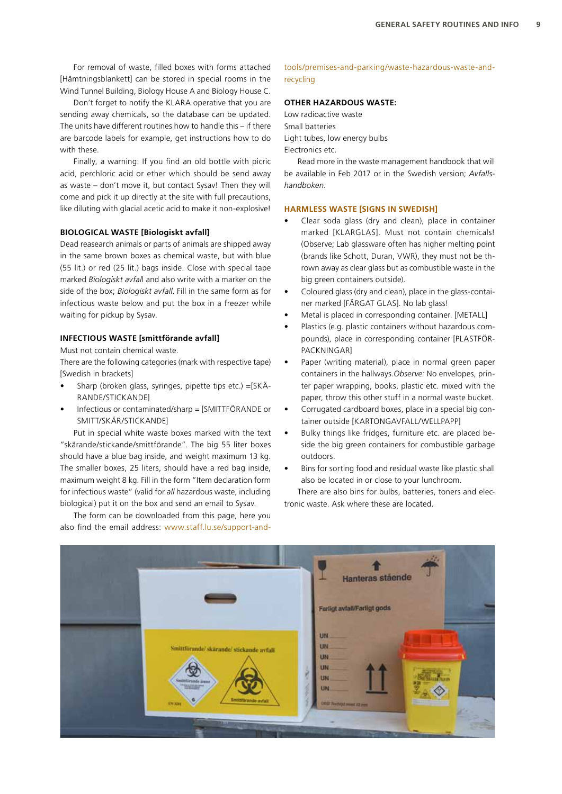For removal of waste, filled boxes with forms attached [Hämtningsblankett] can be stored in special rooms in the Wind Tunnel Building, Biology House A and Biology House C.

Don't forget to notify the KLARA operative that you are sending away chemicals, so the database can be updated. The units have different routines how to handle this – if there are barcode labels for example, get instructions how to do with these.

Finally, a warning: If you find an old bottle with picric acid, perchloric acid or ether which should be send away as waste – don't move it, but contact Sysav! Then they will come and pick it up directly at the site with full precautions, like diluting with glacial acetic acid to make it non-explosive!

#### **BIOLOGICAL WASTE [Biologiskt avfall]**

Dead reasearch animals or parts of animals are shipped away in the same brown boxes as chemical waste, but with blue (55 lit.) or red (25 lit.) bags inside. Close with special tape marked *Biologiskt avfal*l and also write with a marker on the side of the box; *Biologiskt avfall*. Fill in the same form as for infectious waste below and put the box in a freezer while waiting for pickup by Sysav.

#### **INFECTIOUS WASTE [smittförande avfall]**

Must not contain chemical waste.

There are the following categories (mark with respective tape) [Swedish in brackets]

- Sharp (broken glass, syringes, pipette tips etc.) =[SKÄ-RANDE/STICKANDE]
- Infectious or contaminated/sharp = [SMITTFÖRANDE or SMITT/SKÄR/STICKANDE]

Put in special white waste boxes marked with the text "skärande/stickande/smittförande". The big 55 liter boxes should have a blue bag inside, and weight maximum 13 kg. The smaller boxes, 25 liters, should have a red bag inside, maximum weight 8 kg. Fill in the form "Item declaration form for infectious waste" (valid for *all* hazardous waste, including biological) put it on the box and send an email to Sysav.

The form can be downloaded from this page, here you also find the email address: [www.staff.lu.se/support-and-](http://www.staff.lu.se/support-and-tools/premises-and-parking/waste-hazardous-waste-and-recycling)

## [tools/premises-and-parking/waste-hazardous-waste-and](http://www.staff.lu.se/support-and-tools/premises-and-parking/waste-hazardous-waste-and-recycling)[recycling](http://www.staff.lu.se/support-and-tools/premises-and-parking/waste-hazardous-waste-and-recycling)

# **OTHER HAZARDOUS WASTE:**

Low radioactive waste Small batteries Light tubes, low energy bulbs Electronics etc.

Read more in the waste management handbook that will be available in Feb 2017 or in the Swedish version; *Avfallshandboken*.

#### **HARMLESS WASTE [SIGNS IN SWEDISH]**

- Clear soda glass (dry and clean), place in container marked [KLARGLAS]. Must not contain chemicals! (Observe; Lab glassware often has higher melting point (brands like Schott, Duran, VWR), they must not be thrown away as clear glass but as combustible waste in the big green containers outside).
- Coloured glass (dry and clean), place in the glass-container marked [FÄRGAT GLAS]. No lab glass!
- Metal is placed in corresponding container. [METALL]
- Plastics (e.g. plastic containers without hazardous compounds), place in corresponding container [PLASTFÖR-PACKNINGAR]
- Paper (writing material), place in normal green paper containers in the hallways.*Observe:* No envelopes, printer paper wrapping, books, plastic etc. mixed with the paper, throw this other stuff in a normal waste bucket.
- Corrugated cardboard boxes, place in a special big container outside [KARTONGAVFALL/WELLPAPP]
- Bulky things like fridges, furniture etc. are placed beside the big green containers for combustible garbage outdoors.
- Bins for sorting food and residual waste like plastic shall also be located in or close to your lunchroom.

There are also bins for bulbs, batteries, toners and electronic waste. Ask where these are located.

|                                                                                                      | 1/2<br>Hanteras stående<br>Farligt avfall/Farligt gods                           |  |
|------------------------------------------------------------------------------------------------------|----------------------------------------------------------------------------------|--|
| Smittforande/skärande/stickande avfall<br>sinficande anno<br>Albumen<br>Smittförande avtall<br>седан | UN<br><b>UN</b><br>UN.<br><b>UN</b><br>UN:<br>UN.<br><b>ORD THOUGH HIM 12 PM</b> |  |
| <b>P. D. S. T.</b>                                                                                   |                                                                                  |  |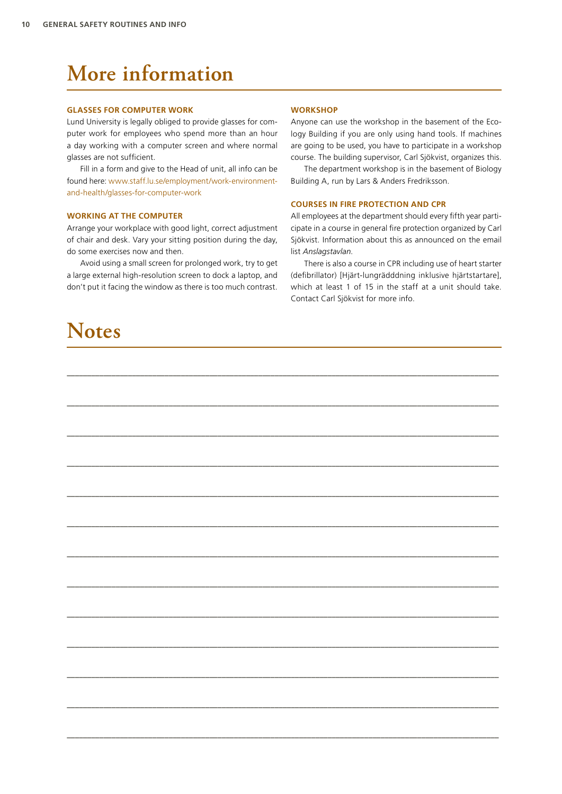# **More information**

#### **GLASSES FOR COMPUTER WORK**

Lund University is legally obliged to provide glasses for computer work for employees who spend more than an hour a day working with a computer screen and where normal glasses are not sufficient.

Fill in a form and give to the Head of unit, all info can be found here: [www.staff.lu.se/employment/work-environment](http://www.staff.lu.se/employment/work-environment-and-health/glasses-for-computer-work)[and-health/glasses-for-computer-work](http://www.staff.lu.se/employment/work-environment-and-health/glasses-for-computer-work)

#### **WORKING AT THE COMPUTER**

Arrange your workplace with good light, correct adjustment of chair and desk. Vary your sitting position during the day, do some exercises now and then.

Avoid using a small screen for prolonged work, try to get a large external high-resolution screen to dock a laptop, and don't put it facing the window as there is too much contrast.

# **Notes**

#### **WORKSHOP**

**––––––––––––––––––––––––––––––––––––––––––––––––––––––––––––––––––––––––––––––––––––––––––––––––––––––––––**

**––––––––––––––––––––––––––––––––––––––––––––––––––––––––––––––––––––––––––––––––––––––––––––––––––––––––––**

**––––––––––––––––––––––––––––––––––––––––––––––––––––––––––––––––––––––––––––––––––––––––––––––––––––––––––**

**––––––––––––––––––––––––––––––––––––––––––––––––––––––––––––––––––––––––––––––––––––––––––––––––––––––––––**

**––––––––––––––––––––––––––––––––––––––––––––––––––––––––––––––––––––––––––––––––––––––––––––––––––––––––––**

**––––––––––––––––––––––––––––––––––––––––––––––––––––––––––––––––––––––––––––––––––––––––––––––––––––––––––**

**––––––––––––––––––––––––––––––––––––––––––––––––––––––––––––––––––––––––––––––––––––––––––––––––––––––––––**

**––––––––––––––––––––––––––––––––––––––––––––––––––––––––––––––––––––––––––––––––––––––––––––––––––––––––––**

**––––––––––––––––––––––––––––––––––––––––––––––––––––––––––––––––––––––––––––––––––––––––––––––––––––––––––**

**––––––––––––––––––––––––––––––––––––––––––––––––––––––––––––––––––––––––––––––––––––––––––––––––––––––––––**

**––––––––––––––––––––––––––––––––––––––––––––––––––––––––––––––––––––––––––––––––––––––––––––––––––––––––––**

**––––––––––––––––––––––––––––––––––––––––––––––––––––––––––––––––––––––––––––––––––––––––––––––––––––––––––**

**––––––––––––––––––––––––––––––––––––––––––––––––––––––––––––––––––––––––––––––––––––––––––––––––––––––––––**

Anyone can use the workshop in the basement of the Ecology Building if you are only using hand tools. If machines are going to be used, you have to participate in a workshop course. The building supervisor, Carl Sjökvist, organizes this.

The department workshop is in the basement of Biology Building A, run by Lars & Anders Fredriksson.

#### **COURSES IN FIRE PROTECTION AND CPR**

All employees at the department should every fifth year participate in a course in general fire protection organized by Carl Sjökvist. Information about this as announced on the email list *Anslagstavlan*.

There is also a course in CPR including use of heart starter (defibrillator) [Hjärt-lungrädddning inklusive hjärtstartare], which at least 1 of 15 in the staff at a unit should take. Contact Carl Sjökvist for more info.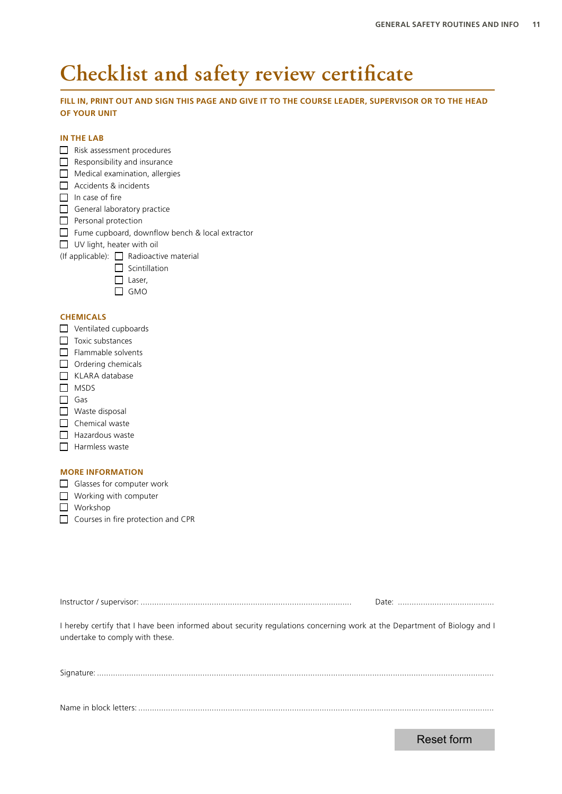# **Checklist and safety review certificate**

# **FILL IN, PRINT OUT AND SIGN THIS PAGE AND GIVE IT TO THE COURSE LEADER, SUPERVISOR OR TO THE HEAD OF YOUR UNIT**

# **IN THE LAB**

- Risk assessment procedures
- $\Box$  Responsibility and insurance
- $\Box$  Medical examination, allergies
- Accidents & incidents
- $\Box$  In case of fire
- General laboratory practice
- $\Box$  Personal protection
- Fume cupboard, downflow bench & local extractor
- UV light, heater with oil
- (If applicable):  $\Box$  Radioactive material
	- $\Box$  Scintillation
	- $\Box$  Laser,
	- $\Box$  GMO

# **CHEMICALS**

- $\Pi$  Ventilated cupboards
- $\Box$  Toxic substances
- $\Box$  Flammable solvents
- $\Box$  Ordering chemicals
- $\Box$  KLARA database
- $\Box$  MSDS
- $\Box$  Gas
- Waste disposal
- $\Box$  Chemical waste
- $\Box$  Hazardous waste
- $\Box$  Harmless waste

# **MORE INFORMATION**

- Glasses for computer work
- $\Box$  Working with computer
- **Norkshop**
- Courses in fire protection and CPR

| The color control decay have been to found at evaluation control of the constantine of the New Saturday of Networks and |  |
|-------------------------------------------------------------------------------------------------------------------------|--|

I hereby certify that I have been informed about security regulations concerning work at the Department of Biology and I undertake to comply with these.

Signature: .............................................................................................................................................................................

Name in block letters: ...........................................................................................................................................................

Reset form